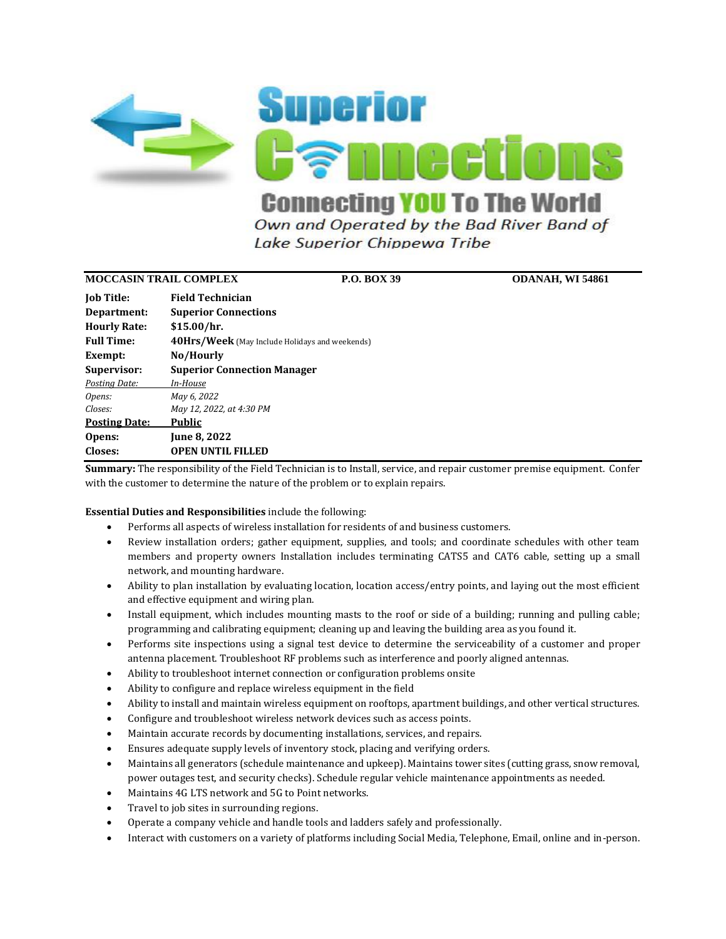

Lake Superior Chippewa Tribe

### **MOCCASIN TRAIL COMPLEX P.O. BOX 39 ODANAH, WI 54861**

| <b>Job Title:</b>    | <b>Field Technician</b>                               |
|----------------------|-------------------------------------------------------|
| Department:          | <b>Superior Connections</b>                           |
| <b>Hourly Rate:</b>  | \$15.00/hr.                                           |
| <b>Full Time:</b>    | <b>40Hrs/Week</b> (May Include Holidays and weekends) |
| Exempt:              | No/Hourly                                             |
| Supervisor:          | <b>Superior Connection Manager</b>                    |
| Postina Date:        | In-House                                              |
| Opens:               | May 6, 2022                                           |
| Closes:              | May 12, 2022, at 4:30 PM                              |
| <b>Posting Date:</b> | Public                                                |
| Opens:               | <b>June 8, 2022</b>                                   |
| Closes:              | <b>OPEN UNTIL FILLED</b>                              |

**Summary:** The responsibility of the Field Technician is to Install, service, and repair customer premise equipment. Confer with the customer to determine the nature of the problem or to explain repairs.

### **Essential Duties and Responsibilities** include the following:

- Performs all aspects of wireless installation for residents of and business customers.
- Review installation orders; gather equipment, supplies, and tools; and coordinate schedules with other team members and property owners Installation includes terminating CATS5 and CAT6 cable, setting up a small network, and mounting hardware.
- Ability to plan installation by evaluating location, location access/entry points, and laying out the most efficient and effective equipment and wiring plan.
- Install equipment, which includes mounting masts to the roof or side of a building; running and pulling cable; programming and calibrating equipment; cleaning up and leaving the building area as you found it.
- Performs site inspections using a signal test device to determine the serviceability of a customer and proper antenna placement. Troubleshoot RF problems such as interference and poorly aligned antennas.
- Ability to troubleshoot internet connection or configuration problems onsite
- Ability to configure and replace wireless equipment in the field
- Ability to install and maintain wireless equipment on rooftops, apartment buildings, and other vertical structures.
- Configure and troubleshoot wireless network devices such as access points.
- Maintain accurate records by documenting installations, services, and repairs.
- Ensures adequate supply levels of inventory stock, placing and verifying orders.
- Maintains all generators (schedule maintenance and upkeep). Maintains tower sites (cutting grass, snow removal, power outages test, and security checks). Schedule regular vehicle maintenance appointments as needed.
- Maintains 4G LTS network and 5G to Point networks.
- Travel to job sites in surrounding regions.
- Operate a company vehicle and handle tools and ladders safely and professionally.
- Interact with customers on a variety of platforms including Social Media, Telephone, Email, online and in-person.